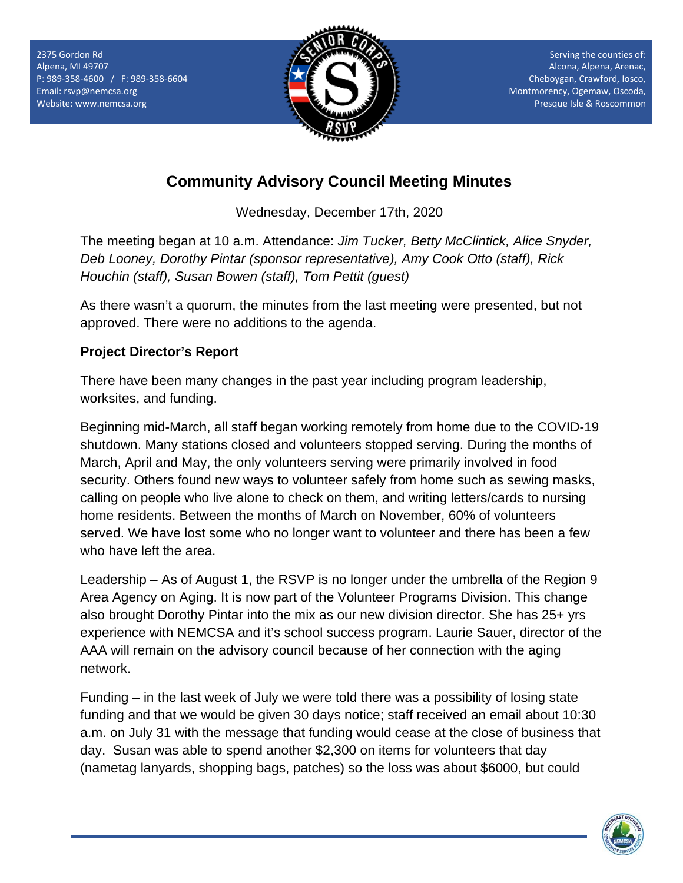

Serving the counties of: Alcona, Alpena, Arenac, Cheboygan, Crawford, Iosco, Montmorency, Ogemaw, Oscoda, Presque Isle & Roscommon

# **Community Advisory Council Meeting Minutes**

Wednesday, December 17th, 2020

The meeting began at 10 a.m. Attendance: *Jim Tucker, Betty McClintick, Alice Snyder, Deb Looney, Dorothy Pintar (sponsor representative), Amy Cook Otto (staff), Rick Houchin (staff), Susan Bowen (staff), Tom Pettit (guest)*

As there wasn't a quorum, the minutes from the last meeting were presented, but not approved. There were no additions to the agenda.

## **Project Director's Report**

There have been many changes in the past year including program leadership, worksites, and funding.

Beginning mid-March, all staff began working remotely from home due to the COVID-19 shutdown. Many stations closed and volunteers stopped serving. During the months of March, April and May, the only volunteers serving were primarily involved in food security. Others found new ways to volunteer safely from home such as sewing masks, calling on people who live alone to check on them, and writing letters/cards to nursing home residents. Between the months of March on November, 60% of volunteers served. We have lost some who no longer want to volunteer and there has been a few who have left the area.

Leadership – As of August 1, the RSVP is no longer under the umbrella of the Region 9 Area Agency on Aging. It is now part of the Volunteer Programs Division. This change also brought Dorothy Pintar into the mix as our new division director. She has 25+ yrs experience with NEMCSA and it's school success program. Laurie Sauer, director of the AAA will remain on the advisory council because of her connection with the aging network.

Funding – in the last week of July we were told there was a possibility of losing state funding and that we would be given 30 days notice; staff received an email about 10:30 a.m. on July 31 with the message that funding would cease at the close of business that day. Susan was able to spend another \$2,300 on items for volunteers that day (nametag lanyards, shopping bags, patches) so the loss was about \$6000, but could

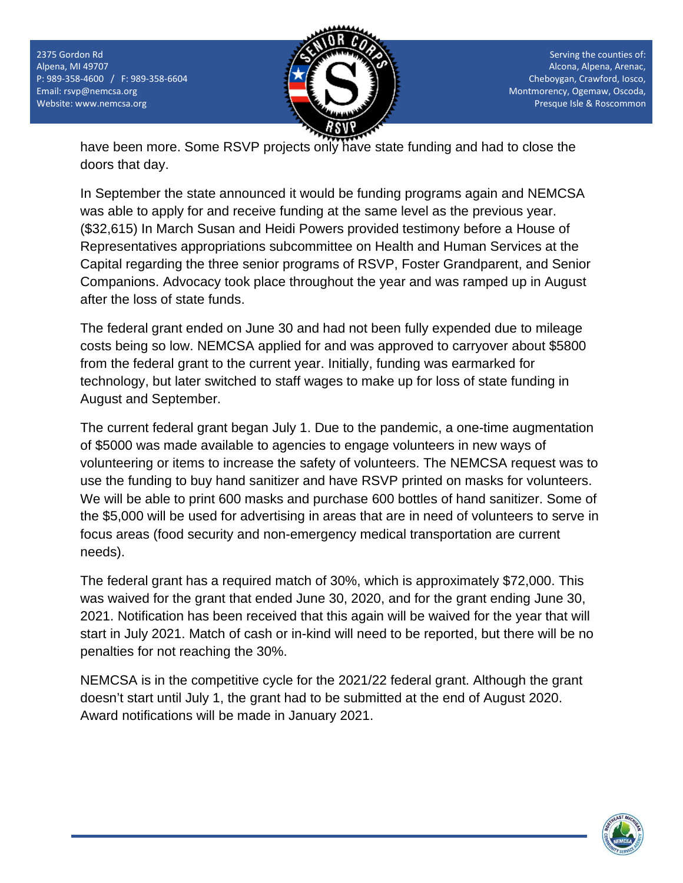2375 Gordon Rd Alpena, MI 49707 P: 989-358-4600 / F: 989-358-6604 Email[: rsvp@nemcsa.org](mailto:rsvp@nemcsa.org) Website: www.nemcsa.org



Serving the counties of: Alcona, Alpena, Arenac, Cheboygan, Crawford, Iosco, Montmorency, Ogemaw, Oscoda, Presque Isle & Roscommon

have been more. Some RSVP projects only have state funding and had to close the doors that day.

In September the state announced it would be funding programs again and NEMCSA was able to apply for and receive funding at the same level as the previous year. (\$32,615) In March Susan and Heidi Powers provided testimony before a House of Representatives appropriations subcommittee on Health and Human Services at the Capital regarding the three senior programs of RSVP, Foster Grandparent, and Senior Companions. Advocacy took place throughout the year and was ramped up in August after the loss of state funds.

The federal grant ended on June 30 and had not been fully expended due to mileage costs being so low. NEMCSA applied for and was approved to carryover about \$5800 from the federal grant to the current year. Initially, funding was earmarked for technology, but later switched to staff wages to make up for loss of state funding in August and September.

The current federal grant began July 1. Due to the pandemic, a one-time augmentation of \$5000 was made available to agencies to engage volunteers in new ways of volunteering or items to increase the safety of volunteers. The NEMCSA request was to use the funding to buy hand sanitizer and have RSVP printed on masks for volunteers. We will be able to print 600 masks and purchase 600 bottles of hand sanitizer. Some of the \$5,000 will be used for advertising in areas that are in need of volunteers to serve in focus areas (food security and non-emergency medical transportation are current needs).

The federal grant has a required match of 30%, which is approximately \$72,000. This was waived for the grant that ended June 30, 2020, and for the grant ending June 30, 2021. Notification has been received that this again will be waived for the year that will start in July 2021. Match of cash or in-kind will need to be reported, but there will be no penalties for not reaching the 30%.

NEMCSA is in the competitive cycle for the 2021/22 federal grant. Although the grant doesn't start until July 1, the grant had to be submitted at the end of August 2020. Award notifications will be made in January 2021.

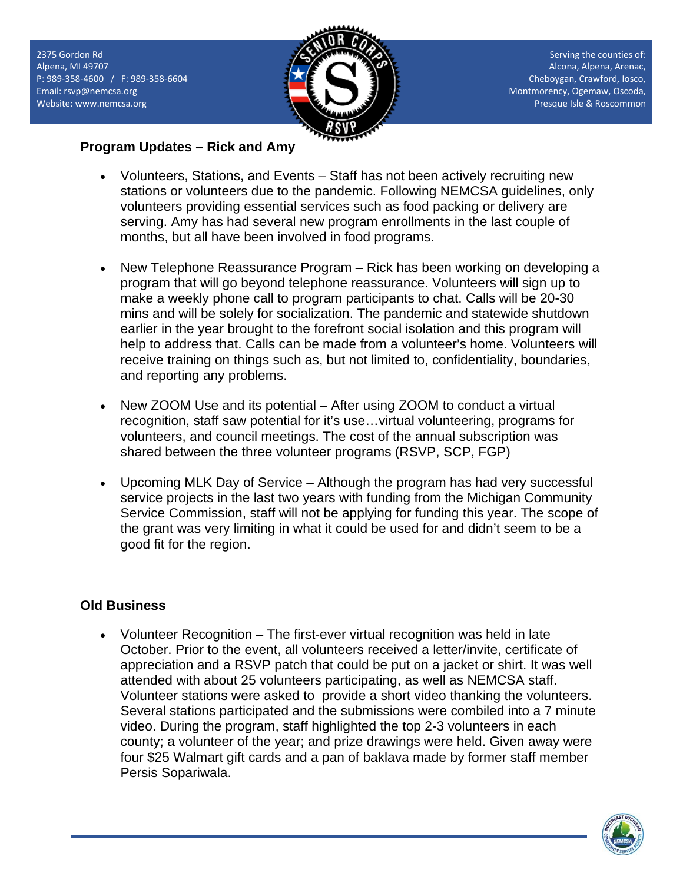2375 Gordon Rd Alpena, MI 49707 P: 989-358-4600 / F: 989-358-6604 Email[: rsvp@nemcsa.org](mailto:rsvp@nemcsa.org) Website: www.nemcsa.org



Serving the counties of: Alcona, Alpena, Arenac, Cheboygan, Crawford, Iosco, Montmorency, Ogemaw, Oscoda, Presque Isle & Roscommon

### **Program Updates – Rick and Amy**

- Volunteers, Stations, and Events Staff has not been actively recruiting new stations or volunteers due to the pandemic. Following NEMCSA guidelines, only volunteers providing essential services such as food packing or delivery are serving. Amy has had several new program enrollments in the last couple of months, but all have been involved in food programs.
- New Telephone Reassurance Program Rick has been working on developing a program that will go beyond telephone reassurance. Volunteers will sign up to make a weekly phone call to program participants to chat. Calls will be 20-30 mins and will be solely for socialization. The pandemic and statewide shutdown earlier in the year brought to the forefront social isolation and this program will help to address that. Calls can be made from a volunteer's home. Volunteers will receive training on things such as, but not limited to, confidentiality, boundaries, and reporting any problems.
- New ZOOM Use and its potential After using ZOOM to conduct a virtual recognition, staff saw potential for it's use…virtual volunteering, programs for volunteers, and council meetings. The cost of the annual subscription was shared between the three volunteer programs (RSVP, SCP, FGP)
- Upcoming MLK Day of Service Although the program has had very successful service projects in the last two years with funding from the Michigan Community Service Commission, staff will not be applying for funding this year. The scope of the grant was very limiting in what it could be used for and didn't seem to be a good fit for the region.

## **Old Business**

• Volunteer Recognition – The first-ever virtual recognition was held in late October. Prior to the event, all volunteers received a letter/invite, certificate of appreciation and a RSVP patch that could be put on a jacket or shirt. It was well attended with about 25 volunteers participating, as well as NEMCSA staff. Volunteer stations were asked to provide a short video thanking the volunteers. Several stations participated and the submissions were combiled into a 7 minute video. During the program, staff highlighted the top 2-3 volunteers in each county; a volunteer of the year; and prize drawings were held. Given away were four \$25 Walmart gift cards and a pan of baklava made by former staff member Persis Sopariwala.